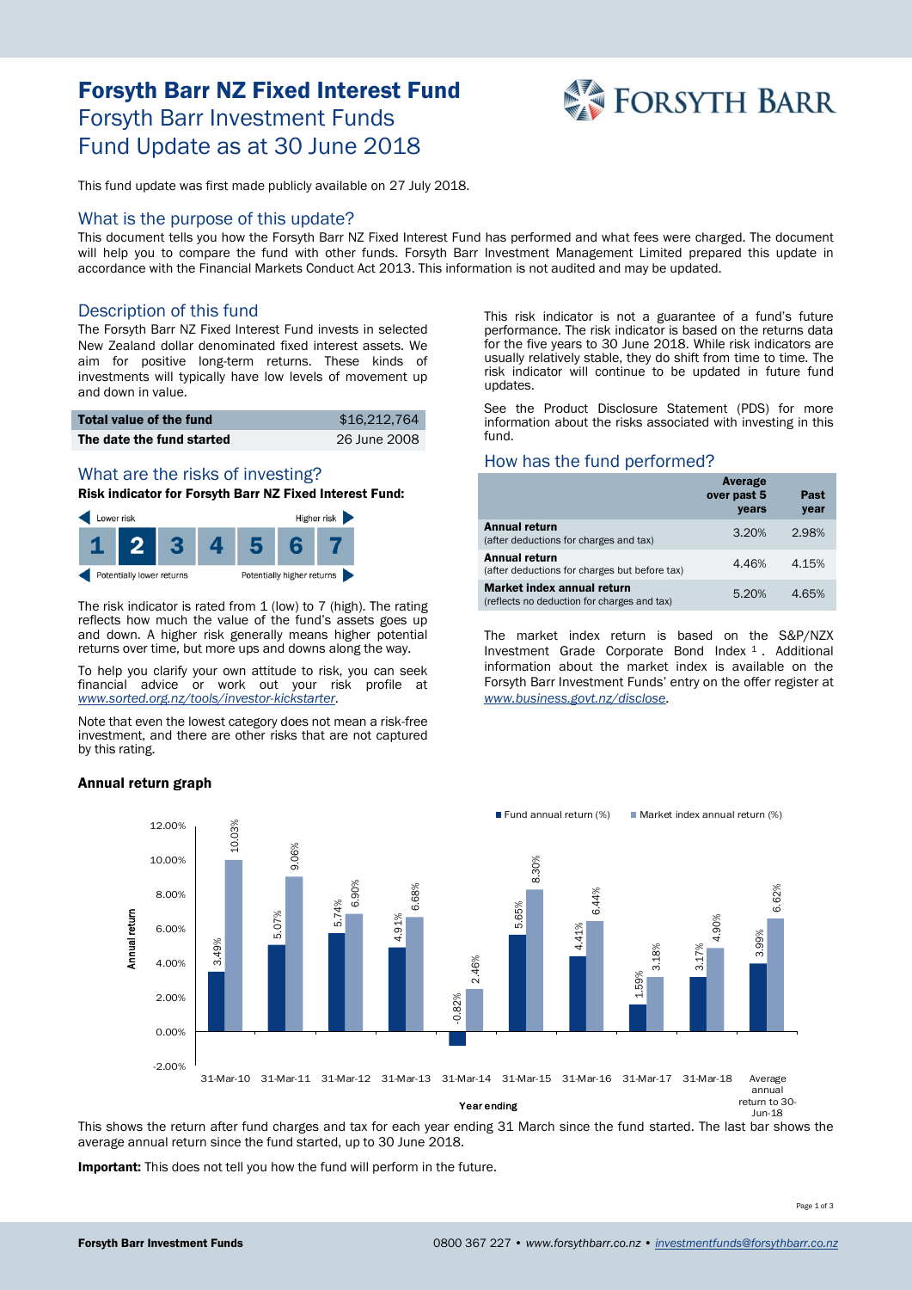# Forsyth Barr NZ Fixed Interest Fund Forsyth Barr Investment Funds Fund Update as at 30 June 2018



This fund update was first made publicly available on 27 July 2018.

## What is the purpose of this update?

This document tells you how the Forsyth Barr NZ Fixed Interest Fund has performed and what fees were charged. The document will help you to compare the fund with other funds. Forsyth Barr Investment Management Limited prepared this update in accordance with the Financial Markets Conduct Act 2013. This information is not audited and may be updated.

## Description of this fund

The Forsyth Barr NZ Fixed Interest Fund invests in selected New Zealand dollar denominated fixed interest assets. We aim for positive long-term returns. These kinds of investments will typically have low levels of movement up and down in value.

| <b>Total value of the fund</b> | \$16.212.764 |
|--------------------------------|--------------|
| The date the fund started      | 26 June 2008 |

#### What are the risks of investing?

## Risk indicator for Forsyth Barr NZ Fixed Interest Fund:



The risk indicator is rated from 1 (low) to 7 (high). The rating reflects how much the value of the fund's assets goes up and down. A higher risk generally means higher potential returns over time, but more ups and downs along the way.

To help you clarify your own attitude to risk, you can seek financial advice or work out your risk profile at *[www.sorted.org.nz/tools/investor-kickstarter](http://www.sorted.org.nz/tools/investor-kickstarter)*.

Note that even the lowest category does not mean a risk-free investment, and there are other risks that are not captured by this rating.

#### Annual return graph

This risk indicator is not a guarantee of a fund's future performance. The risk indicator is based on the returns data for the five years to 30 June 2018. While risk indicators are usually relatively stable, they do shift from time to time. The risk indicator will continue to be updated in future fund updates.

See the Product Disclosure Statement (PDS) for more information about the risks associated with investing in this fund.

#### How has the fund performed?

|                                                                           | Average<br>over past 5<br>years | Past<br>year |
|---------------------------------------------------------------------------|---------------------------------|--------------|
| Annual return<br>(after deductions for charges and tax)                   | 3.20%                           | 2.98%        |
| Annual return<br>(after deductions for charges but before tax)            | 4.46%                           | 4.15%        |
| Market index annual return<br>(reflects no deduction for charges and tax) | 5.20%                           | 4.65%        |

The market index return is based on the S&P/NZX Investment Grade Corporate Bond Index <sup>1</sup> . Additional information about the market index is available on the Forsyth Barr Investment Funds' entry on the offer register at *[www.business.govt.nz/disclose.](http://www.business.govt.nz/disclose)*



This shows the return after fund charges and tax for each year ending 31 March since the fund started. The last bar shows the average annual return since the fund started, up to 30 June 2018.

Important: This does not tell you how the fund will perform in the future.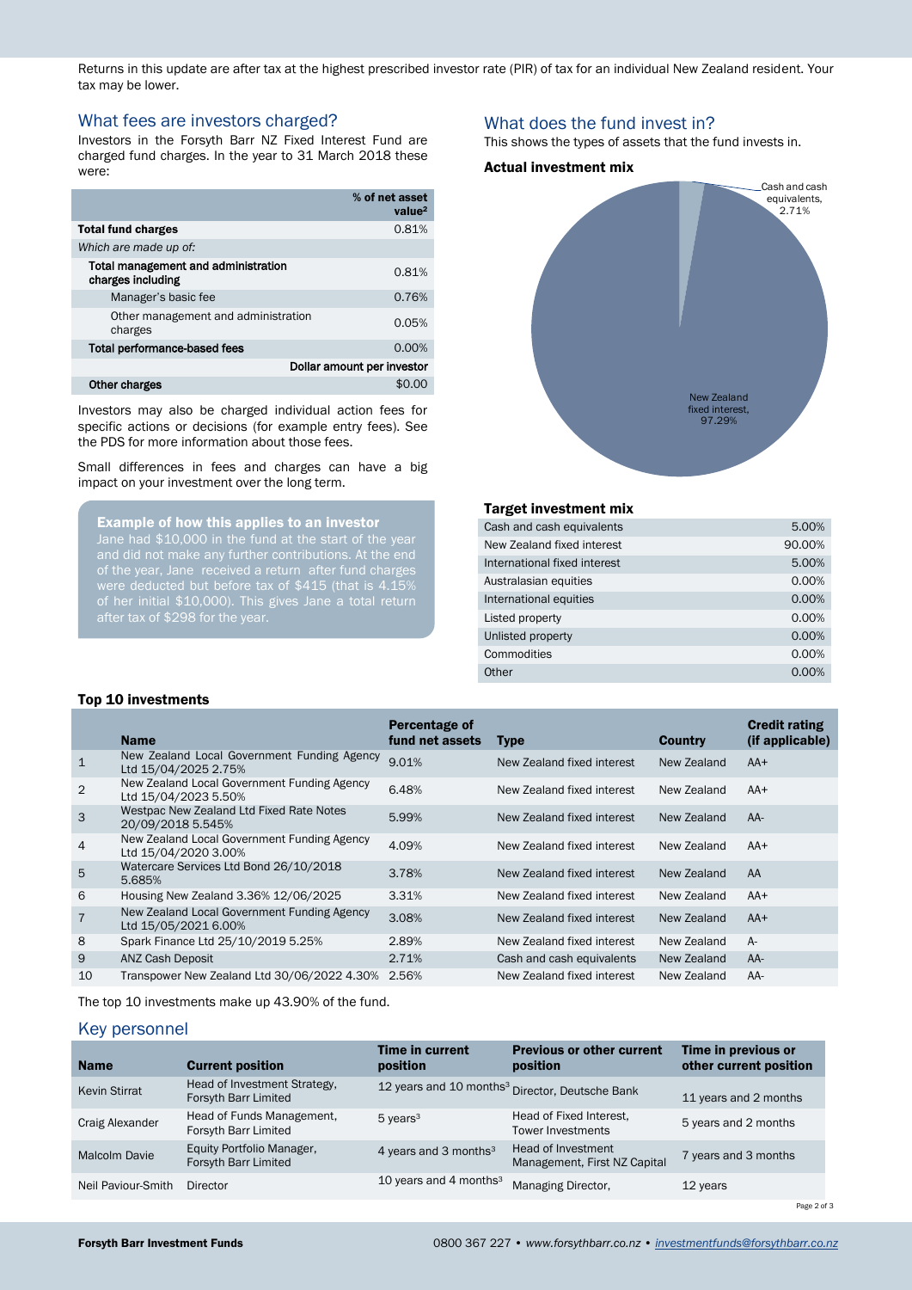Returns in this update are after tax at the highest prescribed investor rate (PIR) of tax for an individual New Zealand resident. Your tax may be lower.

## What fees are investors charged?

Investors in the Forsyth Barr NZ Fixed Interest Fund are charged fund charges. In the year to 31 March 2018 these were:

|                                                          | % of net asset<br>value <sup>2</sup> |
|----------------------------------------------------------|--------------------------------------|
| <b>Total fund charges</b>                                | 0.81%                                |
| Which are made up of:                                    |                                      |
| Total management and administration<br>charges including | 0.81%                                |
| Manager's basic fee                                      | 0.76%                                |
| Other management and administration<br>charges           | 0.05%                                |
| Total performance-based fees                             | 0.00%                                |
|                                                          | Dollar amount per investor           |
| <b>Other charges</b>                                     |                                      |

Investors may also be charged individual action fees for specific actions or decisions (for example entry fees). See the PDS for more information about those fees.

Small differences in fees and charges can have a big impact on your investment over the long term.

Example of how this applies to an investor

of the year, Jane received a return after fund charges of her initial \$10,000). This gives Jane a total return after tax of \$298 for the year.

## What does the fund invest in?

This shows the types of assets that the fund invests in.

#### Actual investment mix



#### Target investment mix

| Cash and cash equivalents    | 5.00%  |
|------------------------------|--------|
| New Zealand fixed interest   | 90.00% |
| International fixed interest | 5.00%  |
| Australasian equities        | 0.00%  |
| International equities       | 0.00%  |
| Listed property              | 0.00%  |
| Unlisted property            | 0.00%  |
| Commodities                  | 0.00%  |
| Other                        | 0.00%  |

#### Top 10 investments

|                | <b>Name</b>                                                         | Percentage of<br>fund net assets | <b>Type</b>                | <b>Country</b> | <b>Credit rating</b><br>(if applicable) |
|----------------|---------------------------------------------------------------------|----------------------------------|----------------------------|----------------|-----------------------------------------|
| $\mathbf{1}$   | New Zealand Local Government Funding Agency<br>Ltd 15/04/2025 2.75% | 9.01%                            | New Zealand fixed interest | New Zealand    | $AA+$                                   |
| 2              | New Zealand Local Government Funding Agency<br>Ltd 15/04/2023 5.50% | 6.48%                            | New Zealand fixed interest | New Zealand    | $AA+$                                   |
| 3              | Westpac New Zealand Ltd Fixed Rate Notes<br>20/09/2018 5.545%       | 5.99%                            | New Zealand fixed interest | New Zealand    | $AA-$                                   |
| $\overline{4}$ | New Zealand Local Government Funding Agency<br>Ltd 15/04/2020 3.00% | 4.09%                            | New Zealand fixed interest | New Zealand    | $AA+$                                   |
| 5              | Watercare Services Ltd Bond 26/10/2018<br>5.685%                    | 3.78%                            | New Zealand fixed interest | New Zealand    | AA                                      |
| 6              | Housing New Zealand 3.36% 12/06/2025                                | 3.31%                            | New Zealand fixed interest | New Zealand    | $AA+$                                   |
| $\overline{7}$ | New Zealand Local Government Funding Agency<br>Ltd 15/05/2021 6.00% | 3.08%                            | New Zealand fixed interest | New Zealand    | $AA+$                                   |
| 8              | Spark Finance Ltd 25/10/2019 5.25%                                  | 2.89%                            | New Zealand fixed interest | New Zealand    | $A -$                                   |
| 9              | ANZ Cash Deposit                                                    | 2.71%                            | Cash and cash equivalents  | New Zealand    | $AA-$                                   |
| 10             | Transpower New Zealand Ltd 30/06/2022 4.30%                         | 2.56%                            | New Zealand fixed interest | New Zealand    | AA-                                     |

The top 10 investments make up 43.90% of the fund.

## <span id="page-1-0"></span>Key personnel

| <b>Name</b>          | <b>Current position</b>                              | Time in current<br>position       | <b>Previous or other current</b><br>position                | Time in previous or<br>other current position |
|----------------------|------------------------------------------------------|-----------------------------------|-------------------------------------------------------------|-----------------------------------------------|
| <b>Kevin Stirrat</b> | Head of Investment Strategy,<br>Forsyth Barr Limited |                                   | 12 years and 10 months <sup>3</sup> Director, Deutsche Bank | 11 years and 2 months                         |
| Craig Alexander      | Head of Funds Management,<br>Forsyth Barr Limited    | $5$ years <sup>3</sup>            | Head of Fixed Interest.<br><b>Tower Investments</b>         | 5 years and 2 months                          |
| <b>Malcolm Davie</b> | Equity Portfolio Manager,<br>Forsyth Barr Limited    | 4 years and 3 months <sup>3</sup> | Head of Investment<br>Management, First NZ Capital          | 7 years and 3 months                          |
| Neil Paviour-Smith   | <b>Director</b>                                      | 10 years and 4 months $3$         | Managing Director,                                          | 12 years                                      |